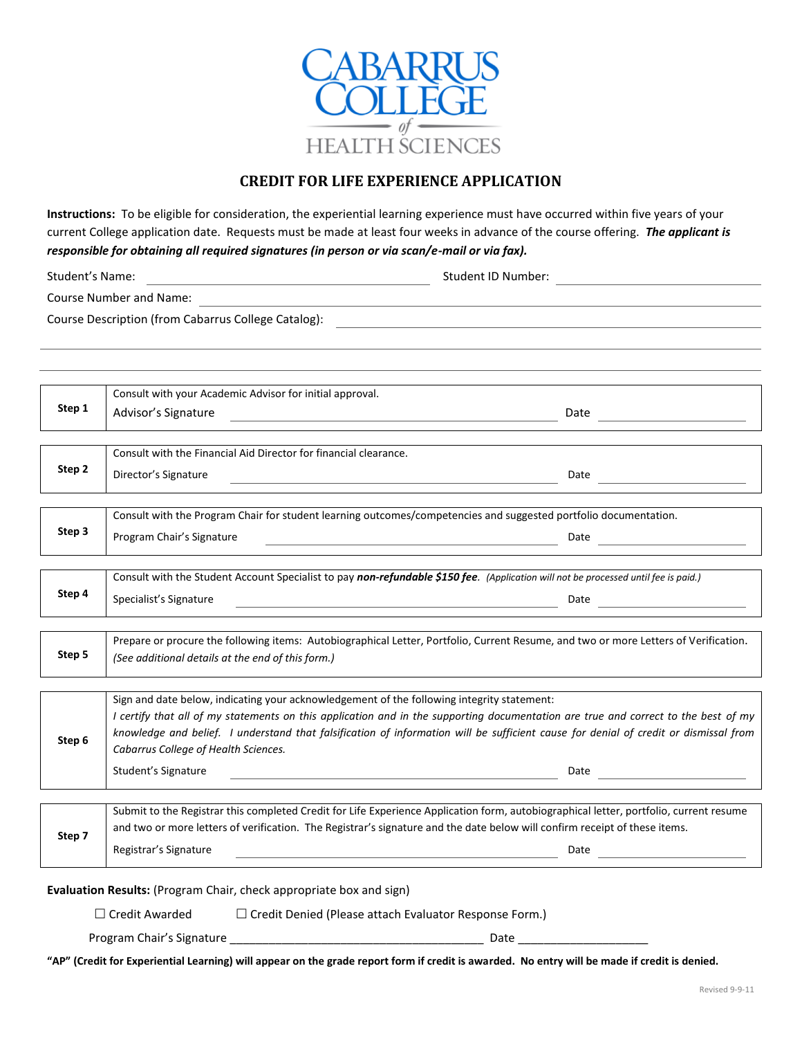

# **CREDIT FOR LIFE EXPERIENCE APPLICATION**

**Instructions:** To be eligible for consideration, the experiential learning experience must have occurred within five years of your current College application date. Requests must be made at least four weeks in advance of the course offering. *The applicant is responsible for obtaining all required signatures (in person or via scan/e-mail or via fax).*

| Student's Name:<br><u> 1980 - Johann Barn, fransk politik (f. 1980)</u> |                                                                                                                                                                                                                                                                                                                                                                                                                                                 | Student ID Number:                                                                                                                                                                                                                                                           |
|-------------------------------------------------------------------------|-------------------------------------------------------------------------------------------------------------------------------------------------------------------------------------------------------------------------------------------------------------------------------------------------------------------------------------------------------------------------------------------------------------------------------------------------|------------------------------------------------------------------------------------------------------------------------------------------------------------------------------------------------------------------------------------------------------------------------------|
|                                                                         |                                                                                                                                                                                                                                                                                                                                                                                                                                                 |                                                                                                                                                                                                                                                                              |
|                                                                         |                                                                                                                                                                                                                                                                                                                                                                                                                                                 | Course Description (from Cabarrus College Catalog): Manual Communication of the Course Description (from Cabarrus College Catalog):                                                                                                                                          |
|                                                                         |                                                                                                                                                                                                                                                                                                                                                                                                                                                 |                                                                                                                                                                                                                                                                              |
| Step 1                                                                  | Consult with your Academic Advisor for initial approval.<br>Advisor's Signature                                                                                                                                                                                                                                                                                                                                                                 | Date<br><u> 1999 - Johann Marie Barn, mars and de Brasilia (b. 19</u>                                                                                                                                                                                                        |
| Step 2                                                                  | Consult with the Financial Aid Director for financial clearance.<br>Director's Signature                                                                                                                                                                                                                                                                                                                                                        | Date                                                                                                                                                                                                                                                                         |
| Step 3                                                                  | Program Chair's Signature                                                                                                                                                                                                                                                                                                                                                                                                                       | Consult with the Program Chair for student learning outcomes/competencies and suggested portfolio documentation.<br><u> 1980 - Johann Barn, mars an t-Amerikaansk politiker (</u>                                                                                            |
| Step 4                                                                  | Specialist's Signature                                                                                                                                                                                                                                                                                                                                                                                                                          | Consult with the Student Account Specialist to pay non-refundable \$150 fee. (Application will not be processed until fee is paid.)<br><u> 1980 - Johann Stein, marwolaethau a bhann an t-Amhain an t-Amhain an t-Amhain an t-Amhain an t-Amhain an t-A</u>                  |
| Step 5                                                                  | Prepare or procure the following items: Autobiographical Letter, Portfolio, Current Resume, and two or more Letters of Verification.<br>(See additional details at the end of this form.)                                                                                                                                                                                                                                                       |                                                                                                                                                                                                                                                                              |
| Step 6                                                                  | Sign and date below, indicating your acknowledgement of the following integrity statement:<br>I certify that all of my statements on this application and in the supporting documentation are true and correct to the best of my<br>knowledge and belief. I understand that falsification of information will be sufficient cause for denial of credit or dismissal from<br>Cabarrus College of Health Sciences.<br>Student's Signature<br>Date |                                                                                                                                                                                                                                                                              |
| Step 7                                                                  | Registrar's Signature                                                                                                                                                                                                                                                                                                                                                                                                                           | Submit to the Registrar this completed Credit for Life Experience Application form, autobiographical letter, portfolio, current resume<br>and two or more letters of verification. The Registrar's signature and the date below will confirm receipt of these items.<br>Date |

**Evaluation Results:** (Program Chair, check appropriate box and sign)

 $\Box$  Credit Awarded  $\Box$  Credit Denied (Please attach Evaluator Response Form.)

Program Chair's Signature \_\_\_\_\_\_\_\_\_\_\_\_\_\_\_\_\_\_\_\_\_\_\_\_\_\_\_\_\_\_\_\_\_\_\_\_\_\_\_ Date \_\_\_\_\_\_\_\_\_\_\_\_\_\_\_\_\_\_\_\_

**"AP" (Credit for Experiential Learning) will appear on the grade report form if credit is awarded. No entry will be made if credit is denied.**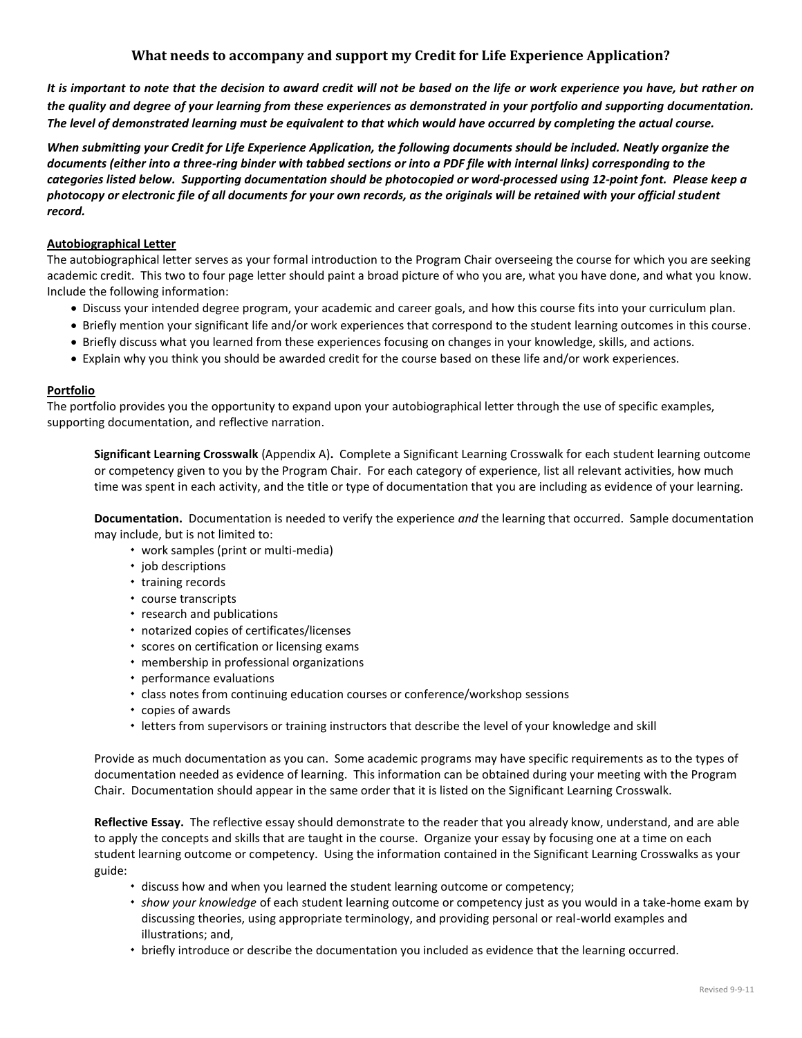## **What needs to accompany and support my Credit for Life Experience Application?**

*It is important to note that the decision to award credit will not be based on the life or work experience you have, but rather on the quality and degree of your learning from these experiences as demonstrated in your portfolio and supporting documentation. The level of demonstrated learning must be equivalent to that which would have occurred by completing the actual course.*

*When submitting your Credit for Life Experience Application, the following documents should be included. Neatly organize the documents (either into a three-ring binder with tabbed sections or into a PDF file with internal links) corresponding to the categories listed below. Supporting documentation should be photocopied or word-processed using 12-point font. Please keep a photocopy or electronic file of all documents for your own records, as the originals will be retained with your official student record.*

### **Autobiographical Letter**

The autobiographical letter serves as your formal introduction to the Program Chair overseeing the course for which you are seeking academic credit. This two to four page letter should paint a broad picture of who you are, what you have done, and what you know. Include the following information:

- Discuss your intended degree program, your academic and career goals, and how this course fits into your curriculum plan.
- Briefly mention your significant life and/or work experiences that correspond to the student learning outcomes in this course.
- Briefly discuss what you learned from these experiences focusing on changes in your knowledge, skills, and actions.
- Explain why you think you should be awarded credit for the course based on these life and/or work experiences.

### **Portfolio**

The portfolio provides you the opportunity to expand upon your autobiographical letter through the use of specific examples, supporting documentation, and reflective narration.

**Significant Learning Crosswalk** (Appendix A)**.** Complete a Significant Learning Crosswalk for each student learning outcome or competency given to you by the Program Chair. For each category of experience, list all relevant activities, how much time was spent in each activity, and the title or type of documentation that you are including as evidence of your learning.

**Documentation.** Documentation is needed to verify the experience *and* the learning that occurred. Sample documentation may include, but is not limited to:

- work samples (print or multi-media)
- job descriptions
- training records
- course transcripts
- research and publications
- notarized copies of certificates/licenses
- scores on certification or licensing exams
- membership in professional organizations
- performance evaluations
- class notes from continuing education courses or conference/workshop sessions
- copies of awards
- letters from supervisors or training instructors that describe the level of your knowledge and skill

Provide as much documentation as you can. Some academic programs may have specific requirements as to the types of documentation needed as evidence of learning. This information can be obtained during your meeting with the Program Chair. Documentation should appear in the same order that it is listed on the Significant Learning Crosswalk.

**Reflective Essay.** The reflective essay should demonstrate to the reader that you already know, understand, and are able to apply the concepts and skills that are taught in the course. Organize your essay by focusing one at a time on each student learning outcome or competency. Using the information contained in the Significant Learning Crosswalks as your guide:

- discuss how and when you learned the student learning outcome or competency;
- *show your knowledge* of each student learning outcome or competency just as you would in a take-home exam by discussing theories, using appropriate terminology, and providing personal or real-world examples and illustrations; and,
- briefly introduce or describe the documentation you included as evidence that the learning occurred.